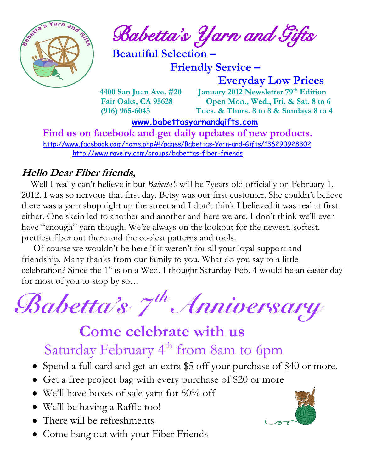

 $\frac{1}{2}$  and  $\frac{1}{2}$  **Babetta's Yarn and Gifts** 

 **Beautiful Selection –**

 **Friendly Service –**

 **Everyday Low Prices**

 **4400 San Juan Ave. #20 January 2012 Newsletter 79th Edition Fair Oaks, CA 95628 Open Mon., Wed., Fri. & Sat. 8 to 6 (916) 965-6043 Tues. & Thurs. 8 to 8 & Sundays 8 to 4** 

 **[www.babettasyarnandgifts.com](http://www.babettasyarnandgifts.com/)**

 **Find us on facebook and get daily updates of new products.**  <http://www.facebook.com/home.php#!/pages/Babettas-Yarn-and-Gifts/136290928302> <http://www.ravelry.com/groups/babettas-fiber-friends>

#### **Hello Dear Fiber friends,**

 Well I really can't believe it but *Babetta's* will be 7years old officially on February 1, 2012. I was so nervous that first day. Betsy was our first customer. She couldn't believe there was a yarn shop right up the street and I don't think I believed it was real at first either. One skein led to another and another and here we are. I don't think we'll ever have "enough" yarn though. We're always on the lookout for the newest, softest, prettiest fiber out there and the coolest patterns and tools.

 Of course we wouldn't be here if it weren't for all your loyal support and friendship. Many thanks from our family to you. What do you say to a little celebration? Since the  $1<sup>st</sup>$  is on a Wed. I thought Saturday Feb. 4 would be an easier day for most of you to stop by so…



# **Come celebrate with us** Saturday February 4<sup>th</sup> from 8am to 6pm

- Spend a full card and get an extra \$5 off your purchase of \$40 or more.
- Get a free project bag with every purchase of \$20 or more
- We'll have boxes of sale yarn for 50% off
- We'll be having a Raffle too!
- There will be refreshments
- Come hang out with your Fiber Friends

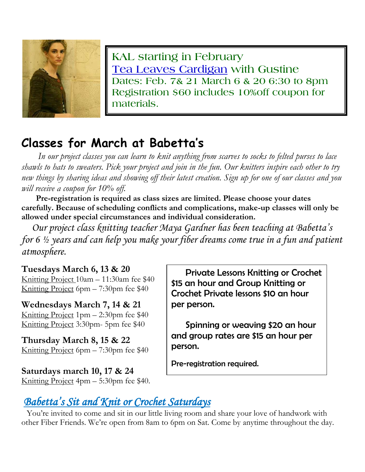

**KAL starting in February Tea Leaves Cardigan with Gustine Dates: Feb. 7& 21 March 6 & 20 6:30 to 8pm Registration \$60 includes 10%off coupon for materials.**

# **Classes for March at Babetta's**

 *In our project classes you can learn to knit anything from scarves to socks to felted purses to lace shawls to hats to sweaters. Pick your project and join in the fun. Our knitters inspire each other to try new things by sharing ideas and showing off their latest creation. Sign up for one of our classes and you will receive a coupon for 10% off.*

 **Pre-registration is required as class sizes are limited. Please choose your dates carefully. Because of scheduling conflicts and complications, make-up classes will only be allowed under special circumstances and individual consideration.**

*Our project class knitting teacher Maya Gardner has been teaching at Babetta's for 6 ½ years and can help you make your fiber dreams come true in a fun and patient atmosphere.*

#### **Tuesdays March 6, 13 & 20**

Knitting Project 10am – 11:30am fee \$40 Knitting Project 6pm – 7:30pm fee \$40

**Wednesdays March 7, 14 & 21** Knitting Project 1pm – 2:30pm fee \$40 Knitting Project 3:30pm- 5pm fee \$40

**Thursday March 8, 15 & 22** Knitting Project 6pm – 7:30pm fee \$40

**Saturdays march 10, 17 & 24** Knitting Project 4pm – 5:30pm fee \$40.

 Private Lessons Knitting or Crochet \$15 an hour and Group Knitting or Crochet Private lessons \$10 an hour per person.

 Spinning or weaving \$20 an hour and group rates are \$15 an hour per person.

Pre-registration required.

### *Babetta's Sit and Knit or Crochet Saturdays*

You're invited to come and sit in our little living room and share your love of handwork with other Fiber Friends. We're open from 8am to 6pm on Sat. Come by anytime throughout the day.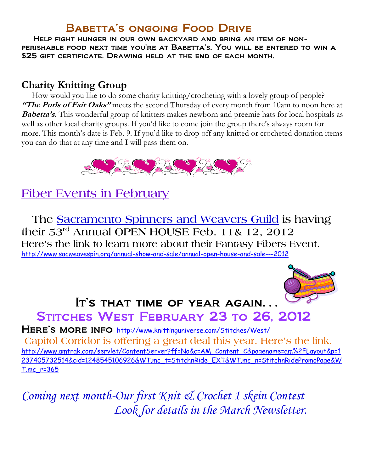#### Babetta's ongoing Food Drive

 Help fight hunger in our own backyard and bring an item of nonperishable food next time you're at Babetta's. You will be entered to win a \$25 gift certificate. Drawing held at the end of each month.

#### **Charity Knitting Group**

 How would you like to do some charity knitting/crocheting with a lovely group of people? **"The Purls of Fair Oaks"** meets the second Thursday of every month from 10am to noon here at **Babetta's.** This wonderful group of knitters makes newborn and preemie hats for local hospitals as well as other local charity groups. If you'd like to come join the group there's always room for more. This month's date is Feb. 9. If you'd like to drop off any knitted or crocheted donation items you can do that at any time and I will pass them on.



### **Fiber Events in February**

 **The Sacramento Spinners and Weavers Guild is having their 53rd Annual OPEN HOUSE Feb. 11& 12, 2012 Here's the link to learn more about their Fantasy Fibers Event.** <http://www.sacweavespin.org/annual-show-and-sale/annual-open-house-and-sale---2012>



# It's that time of year again.. STITCHES WEST FEBRUARY 23 TO 26, 2012

HERE'S MORE INFO <http://www.knittinguniverse.com/Stitches/West/> **Capitol Corridor is offering a great deal this year. Here's the link.** [http://www.amtrak.com/servlet/ContentServer?ff=No&c=AM\\_Content\\_C&pagename=am%2FLayout&p=1](http://www.amtrak.com/servlet/ContentServer?ff=No&c=AM_Content_C&pagename=am%2FLayout&p=1237405732514&cid=1248545106926&WT.mc_t=StitchnRide_EXT&WT.mc_n=StitchnRidePromoPage&WT.mc_r=365) [237405732514&cid=1248545106926&WT.mc\\_t=StitchnRide\\_EXT&WT.mc\\_n=StitchnRidePromoPage&W](http://www.amtrak.com/servlet/ContentServer?ff=No&c=AM_Content_C&pagename=am%2FLayout&p=1237405732514&cid=1248545106926&WT.mc_t=StitchnRide_EXT&WT.mc_n=StitchnRidePromoPage&WT.mc_r=365) [T.mc\\_r=365](http://www.amtrak.com/servlet/ContentServer?ff=No&c=AM_Content_C&pagename=am%2FLayout&p=1237405732514&cid=1248545106926&WT.mc_t=StitchnRide_EXT&WT.mc_n=StitchnRidePromoPage&WT.mc_r=365)

*Coming next month-Our first Knit & Crochet 1 skein Contest Look for details in the March Newsletter.*